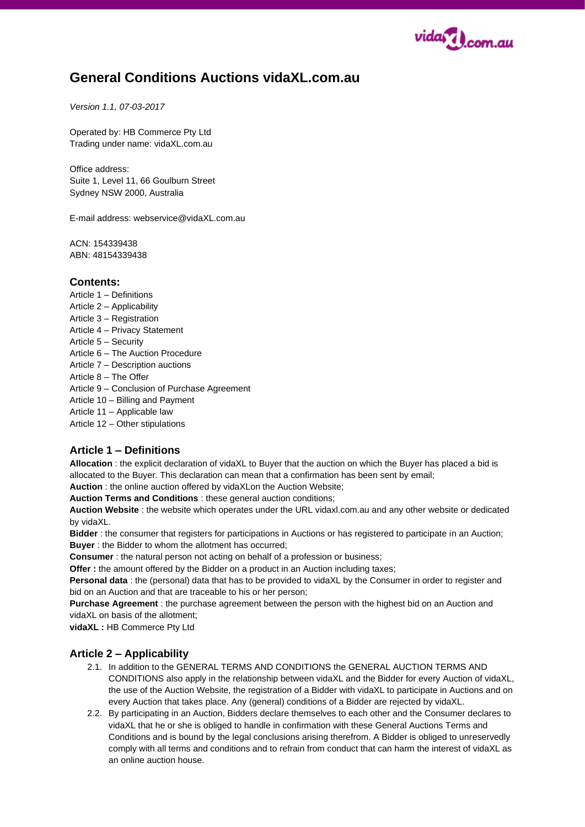

# **General Conditions Auctions vidaXL.com.au**

#### *Version 1.1, 07-03-2017*

Operated by: HB Commerce Pty Ltd Trading under name: vidaXL.com.au

Office address: Suite 1, Level 11, 66 Goulburn Street Sydney NSW 2000, Australia

E-mail address: webservice@vidaXL.com.au

ACN: 154339438 ABN: 48154339438

#### **Contents:**

Article 1 – Definitions Article 2 – Applicability Article 3 – Registration Article 4 – Privacy Statement Article 5 – Security Article 6 – The Auction Procedure Article 7 – Description auctions Article 8 – The Offer Article 9 – Conclusion of Purchase Agreement Article 10 – Billing and Payment Article 11 – Applicable law Article 12 – Other stipulations

## **Article 1 – Definitions**

**Allocation** : the explicit declaration of vidaXL to Buyer that the auction on which the Buyer has placed a bid is allocated to the Buyer. This declaration can mean that a confirmation has been sent by email;

**Auction** : the online auction offered by vidaXLon the Auction Website;

**Auction Terms and Conditions** : these general auction conditions;

**Auction Website** : the website which operates under the URL vidaxl.com.au and any other website or dedicated by vidaXL.

**Bidder** : the consumer that registers for participations in Auctions or has registered to participate in an Auction; **Buyer** : the Bidder to whom the allotment has occurred;

**Consumer** : the natural person not acting on behalf of a profession or business:

**Offer** : the amount offered by the Bidder on a product in an Auction including taxes;

**Personal data** : the (personal) data that has to be provided to vidaXL by the Consumer in order to register and bid on an Auction and that are traceable to his or her person;

**Purchase Agreement** : the purchase agreement between the person with the highest bid on an Auction and vidaXL on basis of the allotment;

**vidaXL :** HB Commerce Pty Ltd

## **Article 2 – Applicability**

- 2.1. In addition to the GENERAL TERMS AND CONDITIONS the GENERAL AUCTION TERMS AND CONDITIONS also apply in the relationship between vidaXL and the Bidder for every Auction of vidaXL, the use of the Auction Website, the registration of a Bidder with vidaXL to participate in Auctions and on every Auction that takes place. Any (general) conditions of a Bidder are rejected by vidaXL.
- 2.2. By participating in an Auction, Bidders declare themselves to each other and the Consumer declares to vidaXL that he or she is obliged to handle in confirmation with these General Auctions Terms and Conditions and is bound by the legal conclusions arising therefrom. A Bidder is obliged to unreservedly comply with all terms and conditions and to refrain from conduct that can harm the interest of vidaXL as an online auction house.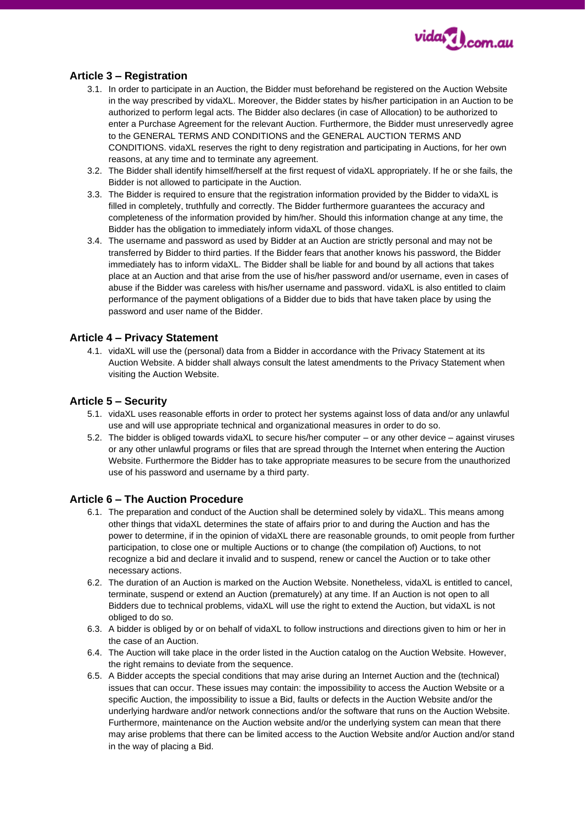

# **Article 3 – Registration**

- 3.1. In order to participate in an Auction, the Bidder must beforehand be registered on the Auction Website in the way prescribed by vidaXL. Moreover, the Bidder states by his/her participation in an Auction to be authorized to perform legal acts. The Bidder also declares (in case of Allocation) to be authorized to enter a Purchase Agreement for the relevant Auction. Furthermore, the Bidder must unreservedly agree to the GENERAL TERMS AND CONDITIONS and the GENERAL AUCTION TERMS AND CONDITIONS. vidaXL reserves the right to deny registration and participating in Auctions, for her own reasons, at any time and to terminate any agreement.
- 3.2. The Bidder shall identify himself/herself at the first request of vidaXL appropriately. If he or she fails, the Bidder is not allowed to participate in the Auction.
- 3.3. The Bidder is required to ensure that the registration information provided by the Bidder to vidaXL is filled in completely, truthfully and correctly. The Bidder furthermore guarantees the accuracy and completeness of the information provided by him/her. Should this information change at any time, the Bidder has the obligation to immediately inform vidaXL of those changes.
- 3.4. The username and password as used by Bidder at an Auction are strictly personal and may not be transferred by Bidder to third parties. If the Bidder fears that another knows his password, the Bidder immediately has to inform vidaXL. The Bidder shall be liable for and bound by all actions that takes place at an Auction and that arise from the use of his/her password and/or username, even in cases of abuse if the Bidder was careless with his/her username and password. vidaXL is also entitled to claim performance of the payment obligations of a Bidder due to bids that have taken place by using the password and user name of the Bidder.

## **Article 4 – Privacy Statement**

4.1. vidaXL will use the (personal) data from a Bidder in accordance with the Privacy Statement at its Auction Website. A bidder shall always consult the latest amendments to the Privacy Statement when visiting the Auction Website.

#### **Article 5 – Security**

- 5.1. vidaXL uses reasonable efforts in order to protect her systems against loss of data and/or any unlawful use and will use appropriate technical and organizational measures in order to do so.
- 5.2. The bidder is obliged towards vidaXL to secure his/her computer or any other device against viruses or any other unlawful programs or files that are spread through the Internet when entering the Auction Website. Furthermore the Bidder has to take appropriate measures to be secure from the unauthorized use of his password and username by a third party.

#### **Article 6 – The Auction Procedure**

- 6.1. The preparation and conduct of the Auction shall be determined solely by vidaXL. This means among other things that vidaXL determines the state of affairs prior to and during the Auction and has the power to determine, if in the opinion of vidaXL there are reasonable grounds, to omit people from further participation, to close one or multiple Auctions or to change (the compilation of) Auctions, to not recognize a bid and declare it invalid and to suspend, renew or cancel the Auction or to take other necessary actions.
- 6.2. The duration of an Auction is marked on the Auction Website. Nonetheless, vidaXL is entitled to cancel, terminate, suspend or extend an Auction (prematurely) at any time. If an Auction is not open to all Bidders due to technical problems, vidaXL will use the right to extend the Auction, but vidaXL is not obliged to do so.
- 6.3. A bidder is obliged by or on behalf of vidaXL to follow instructions and directions given to him or her in the case of an Auction.
- 6.4. The Auction will take place in the order listed in the Auction catalog on the Auction Website. However, the right remains to deviate from the sequence.
- 6.5. A Bidder accepts the special conditions that may arise during an Internet Auction and the (technical) issues that can occur. These issues may contain: the impossibility to access the Auction Website or a specific Auction, the impossibility to issue a Bid, faults or defects in the Auction Website and/or the underlying hardware and/or network connections and/or the software that runs on the Auction Website. Furthermore, maintenance on the Auction website and/or the underlying system can mean that there may arise problems that there can be limited access to the Auction Website and/or Auction and/or stand in the way of placing a Bid.